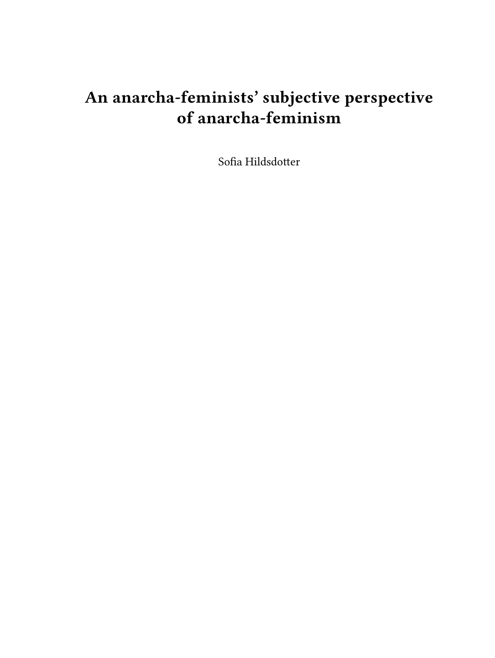# **An anarcha-feminists' subjective perspective of anarcha-feminism**

Sofia Hildsdotter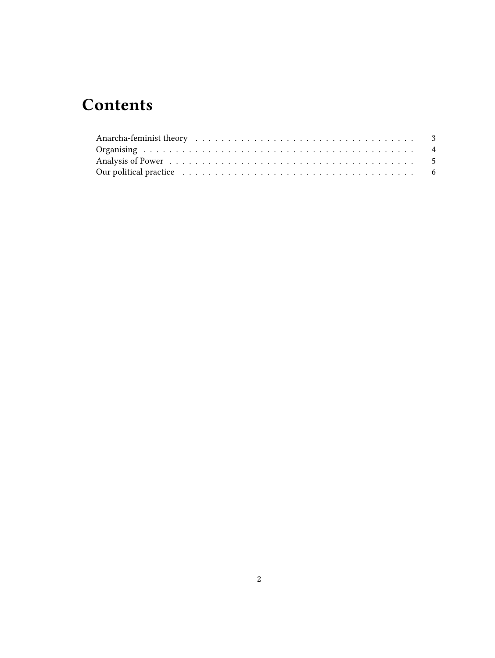## **Contents**

| Our political practice enterpresent resources in the set of the contract of the contract of the contract of the |  |  |  |  |  |  |  |  |  |  |  |  |  |  |  |  |  |
|-----------------------------------------------------------------------------------------------------------------|--|--|--|--|--|--|--|--|--|--|--|--|--|--|--|--|--|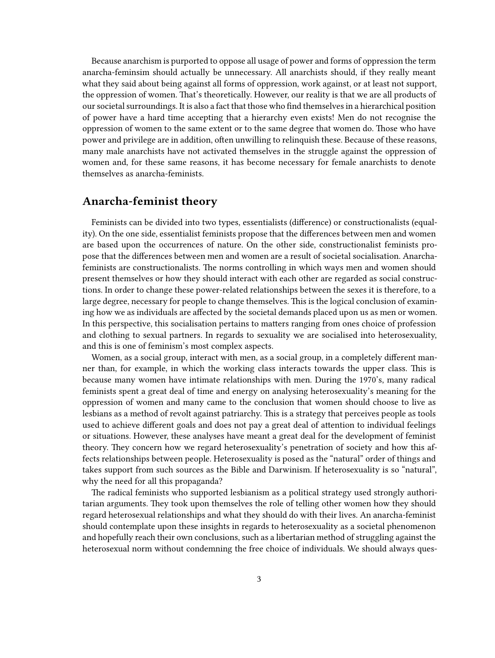Because anarchism is purported to oppose all usage of power and forms of oppression the term anarcha-feminsim should actually be unnecessary. All anarchists should, if they really meant what they said about being against all forms of oppression, work against, or at least not support, the oppression of women. That's theoretically. However, our reality is that we are all products of our societal surroundings. It is also a fact that those who find themselves in a hierarchical position of power have a hard time accepting that a hierarchy even exists! Men do not recognise the oppression of women to the same extent or to the same degree that women do. Those who have power and privilege are in addition, often unwilling to relinquish these. Because of these reasons, many male anarchists have not activated themselves in the struggle against the oppression of women and, for these same reasons, it has become necessary for female anarchists to denote themselves as anarcha-feminists.

#### <span id="page-2-0"></span>**Anarcha-feminist theory**

Feminists can be divided into two types, essentialists (difference) or constructionalists (equality). On the one side, essentialist feminists propose that the differences between men and women are based upon the occurrences of nature. On the other side, constructionalist feminists propose that the differences between men and women are a result of societal socialisation. Anarchafeminists are constructionalists. The norms controlling in which ways men and women should present themselves or how they should interact with each other are regarded as social constructions. In order to change these power-related relationships between the sexes it is therefore, to a large degree, necessary for people to change themselves. This is the logical conclusion of examining how we as individuals are affected by the societal demands placed upon us as men or women. In this perspective, this socialisation pertains to matters ranging from ones choice of profession and clothing to sexual partners. In regards to sexuality we are socialised into heterosexuality, and this is one of feminism's most complex aspects.

Women, as a social group, interact with men, as a social group, in a completely different manner than, for example, in which the working class interacts towards the upper class. This is because many women have intimate relationships with men. During the 1970's, many radical feminists spent a great deal of time and energy on analysing heterosexuality's meaning for the oppression of women and many came to the conclusion that women should choose to live as lesbians as a method of revolt against patriarchy. This is a strategy that perceives people as tools used to achieve different goals and does not pay a great deal of attention to individual feelings or situations. However, these analyses have meant a great deal for the development of feminist theory. They concern how we regard heterosexuality's penetration of society and how this affects relationships between people. Heterosexuality is posed as the "natural" order of things and takes support from such sources as the Bible and Darwinism. If heterosexuality is so "natural", why the need for all this propaganda?

The radical feminists who supported lesbianism as a political strategy used strongly authoritarian arguments. They took upon themselves the role of telling other women how they should regard heterosexual relationships and what they should do with their lives. An anarcha-feminist should contemplate upon these insights in regards to heterosexuality as a societal phenomenon and hopefully reach their own conclusions, such as a libertarian method of struggling against the heterosexual norm without condemning the free choice of individuals. We should always ques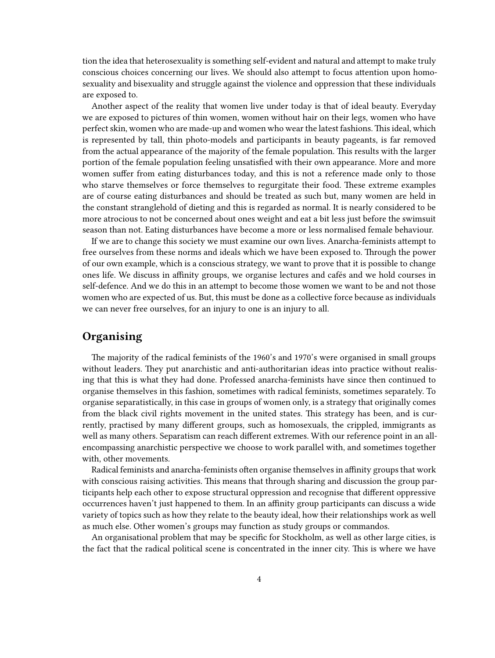tion the idea that heterosexuality is something self-evident and natural and attempt to make truly conscious choices concerning our lives. We should also attempt to focus attention upon homosexuality and bisexuality and struggle against the violence and oppression that these individuals are exposed to.

Another aspect of the reality that women live under today is that of ideal beauty. Everyday we are exposed to pictures of thin women, women without hair on their legs, women who have perfect skin, women who are made-up and women who wear the latest fashions. This ideal, which is represented by tall, thin photo-models and participants in beauty pageants, is far removed from the actual appearance of the majority of the female population. This results with the larger portion of the female population feeling unsatisfied with their own appearance. More and more women suffer from eating disturbances today, and this is not a reference made only to those who starve themselves or force themselves to regurgitate their food. These extreme examples are of course eating disturbances and should be treated as such but, many women are held in the constant stranglehold of dieting and this is regarded as normal. It is nearly considered to be more atrocious to not be concerned about ones weight and eat a bit less just before the swimsuit season than not. Eating disturbances have become a more or less normalised female behaviour.

If we are to change this society we must examine our own lives. Anarcha-feminists attempt to free ourselves from these norms and ideals which we have been exposed to. Through the power of our own example, which is a conscious strategy, we want to prove that it is possible to change ones life. We discuss in affinity groups, we organise lectures and cafés and we hold courses in self-defence. And we do this in an attempt to become those women we want to be and not those women who are expected of us. But, this must be done as a collective force because as individuals we can never free ourselves, for an injury to one is an injury to all.

#### <span id="page-3-0"></span>**Organising**

The majority of the radical feminists of the 1960's and 1970's were organised in small groups without leaders. They put anarchistic and anti-authoritarian ideas into practice without realising that this is what they had done. Professed anarcha-feminists have since then continued to organise themselves in this fashion, sometimes with radical feminists, sometimes separately. To organise separatistically, in this case in groups of women only, is a strategy that originally comes from the black civil rights movement in the united states. This strategy has been, and is currently, practised by many different groups, such as homosexuals, the crippled, immigrants as well as many others. Separatism can reach different extremes. With our reference point in an allencompassing anarchistic perspective we choose to work parallel with, and sometimes together with, other movements.

Radical feminists and anarcha-feminists often organise themselves in affinity groups that work with conscious raising activities. This means that through sharing and discussion the group participants help each other to expose structural oppression and recognise that different oppressive occurrences haven't just happened to them. In an affinity group participants can discuss a wide variety of topics such as how they relate to the beauty ideal, how their relationships work as well as much else. Other women's groups may function as study groups or commandos.

An organisational problem that may be specific for Stockholm, as well as other large cities, is the fact that the radical political scene is concentrated in the inner city. This is where we have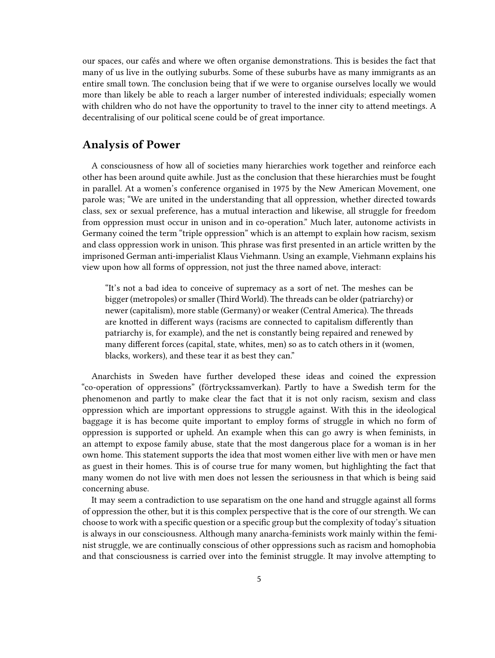our spaces, our cafés and where we often organise demonstrations. This is besides the fact that many of us live in the outlying suburbs. Some of these suburbs have as many immigrants as an entire small town. The conclusion being that if we were to organise ourselves locally we would more than likely be able to reach a larger number of interested individuals; especially women with children who do not have the opportunity to travel to the inner city to attend meetings. A decentralising of our political scene could be of great importance.

#### <span id="page-4-0"></span>**Analysis of Power**

A consciousness of how all of societies many hierarchies work together and reinforce each other has been around quite awhile. Just as the conclusion that these hierarchies must be fought in parallel. At a women's conference organised in 1975 by the New American Movement, one parole was; "We are united in the understanding that all oppression, whether directed towards class, sex or sexual preference, has a mutual interaction and likewise, all struggle for freedom from oppression must occur in unison and in co-operation." Much later, autonome activists in Germany coined the term "triple oppression" which is an attempt to explain how racism, sexism and class oppression work in unison. This phrase was first presented in an article written by the imprisoned German anti-imperialist Klaus Viehmann. Using an example, Viehmann explains his view upon how all forms of oppression, not just the three named above, interact:

"It's not a bad idea to conceive of supremacy as a sort of net. The meshes can be bigger (metropoles) or smaller (Third World). The threads can be older (patriarchy) or newer (capitalism), more stable (Germany) or weaker (Central America). The threads are knotted in different ways (racisms are connected to capitalism differently than patriarchy is, for example), and the net is constantly being repaired and renewed by many different forces (capital, state, whites, men) so as to catch others in it (women, blacks, workers), and these tear it as best they can."

Anarchists in Sweden have further developed these ideas and coined the expression "co-operation of oppressions" (förtryckssamverkan). Partly to have a Swedish term for the phenomenon and partly to make clear the fact that it is not only racism, sexism and class oppression which are important oppressions to struggle against. With this in the ideological baggage it is has become quite important to employ forms of struggle in which no form of oppression is supported or upheld. An example when this can go awry is when feminists, in an attempt to expose family abuse, state that the most dangerous place for a woman is in her own home. This statement supports the idea that most women either live with men or have men as guest in their homes. This is of course true for many women, but highlighting the fact that many women do not live with men does not lessen the seriousness in that which is being said concerning abuse.

It may seem a contradiction to use separatism on the one hand and struggle against all forms of oppression the other, but it is this complex perspective that is the core of our strength. We can choose to work with a specific question or a specific group but the complexity of today's situation is always in our consciousness. Although many anarcha-feminists work mainly within the feminist struggle, we are continually conscious of other oppressions such as racism and homophobia and that consciousness is carried over into the feminist struggle. It may involve attempting to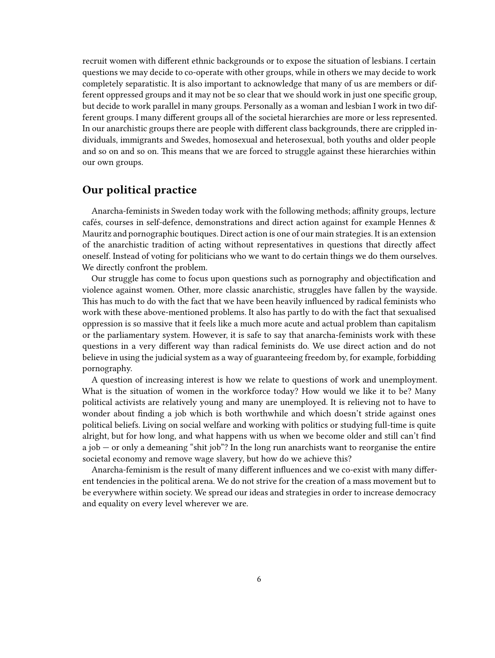recruit women with different ethnic backgrounds or to expose the situation of lesbians. I certain questions we may decide to co-operate with other groups, while in others we may decide to work completely separatistic. It is also important to acknowledge that many of us are members or different oppressed groups and it may not be so clear that we should work in just one specific group, but decide to work parallel in many groups. Personally as a woman and lesbian I work in two different groups. I many different groups all of the societal hierarchies are more or less represented. In our anarchistic groups there are people with different class backgrounds, there are crippled individuals, immigrants and Swedes, homosexual and heterosexual, both youths and older people and so on and so on. This means that we are forced to struggle against these hierarchies within our own groups.

### <span id="page-5-0"></span>**Our political practice**

Anarcha-feminists in Sweden today work with the following methods; affinity groups, lecture cafés, courses in self-defence, demonstrations and direct action against for example Hennes & Mauritz and pornographic boutiques. Direct action is one of our main strategies. It is an extension of the anarchistic tradition of acting without representatives in questions that directly affect oneself. Instead of voting for politicians who we want to do certain things we do them ourselves. We directly confront the problem.

Our struggle has come to focus upon questions such as pornography and objectification and violence against women. Other, more classic anarchistic, struggles have fallen by the wayside. This has much to do with the fact that we have been heavily influenced by radical feminists who work with these above-mentioned problems. It also has partly to do with the fact that sexualised oppression is so massive that it feels like a much more acute and actual problem than capitalism or the parliamentary system. However, it is safe to say that anarcha-feminists work with these questions in a very different way than radical feminists do. We use direct action and do not believe in using the judicial system as a way of guaranteeing freedom by, for example, forbidding pornography.

A question of increasing interest is how we relate to questions of work and unemployment. What is the situation of women in the workforce today? How would we like it to be? Many political activists are relatively young and many are unemployed. It is relieving not to have to wonder about finding a job which is both worthwhile and which doesn't stride against ones political beliefs. Living on social welfare and working with politics or studying full-time is quite alright, but for how long, and what happens with us when we become older and still can't find a job — or only a demeaning "shit job"? In the long run anarchists want to reorganise the entire societal economy and remove wage slavery, but how do we achieve this?

Anarcha-feminism is the result of many different influences and we co-exist with many different tendencies in the political arena. We do not strive for the creation of a mass movement but to be everywhere within society. We spread our ideas and strategies in order to increase democracy and equality on every level wherever we are.